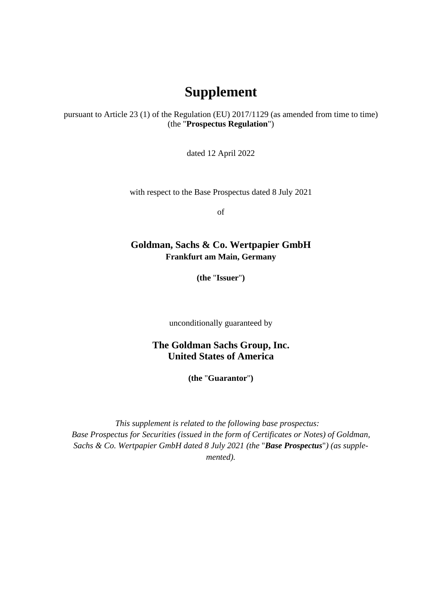## **Supplement**

pursuant to Article 23 (1) of the Regulation (EU) 2017/1129 (as amended from time to time) (the "**Prospectus Regulation**")

dated 12 April 2022

with respect to the Base Prospectus dated 8 July 2021

of

## **Goldman, Sachs & Co. Wertpapier GmbH Frankfurt am Main, Germany**

**(the** "**Issuer**"**)** 

unconditionally guaranteed by

**The Goldman Sachs Group, Inc. United States of America** 

**(the** "**Guarantor**"**)** 

*This supplement is related to the following base prospectus: Base Prospectus for Securities (issued in the form of Certificates or Notes) of Goldman, Sachs & Co. Wertpapier GmbH dated 8 July 2021 (the* "*Base Prospectus*"*) (as supplemented).*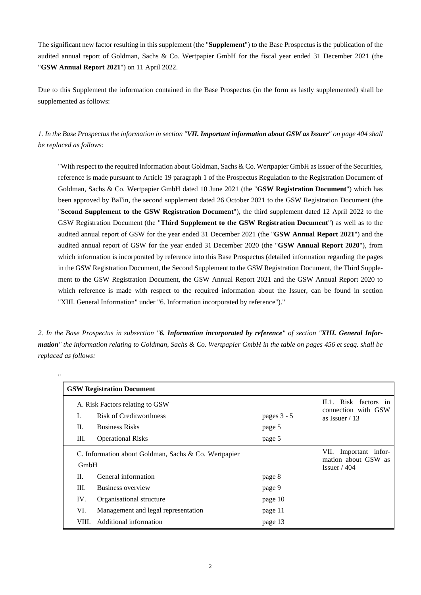The significant new factor resulting in this supplement (the "**Supplement**") to the Base Prospectus is the publication of the audited annual report of Goldman, Sachs & Co. Wertpapier GmbH for the fiscal year ended 31 December 2021 (the "**GSW Annual Report 2021**") on 11 April 2022.

Due to this Supplement the information contained in the Base Prospectus (in the form as lastly supplemented) shall be supplemented as follows:

*1. In the Base Prospectus the information in section "VII. Important information about GSW as Issuer" on page 404 shall be replaced as follows:* 

"With respect to the required information about Goldman, Sachs & Co. Wertpapier GmbH as Issuer of the Securities, reference is made pursuant to Article 19 paragraph 1 of the Prospectus Regulation to the Registration Document of Goldman, Sachs & Co. Wertpapier GmbH dated 10 June 2021 (the "**GSW Registration Document**") which has been approved by BaFin, the second supplement dated 26 October 2021 to the GSW Registration Document (the "**Second Supplement to the GSW Registration Document**"), the third supplement dated 12 April 2022 to the GSW Registration Document (the "**Third Supplement to the GSW Registration Document**") as well as to the audited annual report of GSW for the year ended 31 December 2021 (the "**GSW Annual Report 2021**") and the audited annual report of GSW for the year ended 31 December 2020 (the "**GSW Annual Report 2020**"), from which information is incorporated by reference into this Base Prospectus (detailed information regarding the pages in the GSW Registration Document, the Second Supplement to the GSW Registration Document, the Third Supplement to the GSW Registration Document, the GSW Annual Report 2021 and the GSW Annual Report 2020 to which reference is made with respect to the required information about the Issuer, can be found in section "XIII. General Information" under "6. Information incorporated by reference")."

*2. In the Base Prospectus in subsection "6. Information incorporated by reference" of section "XIII. General Information" the information relating to Goldman, Sachs & Co. Wertpapier GmbH in the table on pages 456 et seqq. shall be replaced as follows:* 

| 11                                                                                     |                                                      |                                                               |                                              |  |  |
|----------------------------------------------------------------------------------------|------------------------------------------------------|---------------------------------------------------------------|----------------------------------------------|--|--|
| <b>GSW Registration Document</b>                                                       |                                                      |                                                               |                                              |  |  |
| A. Risk Factors relating to GSW<br>I.<br><b>Risk of Creditworthness</b><br>pages 3 - 5 |                                                      |                                                               | II.1. Risk factors in<br>connection with GSW |  |  |
| II.                                                                                    | <b>Business Risks</b>                                | page 5                                                        | as Issuer $/13$                              |  |  |
| Ш.                                                                                     | <b>Operational Risks</b>                             | page 5                                                        |                                              |  |  |
| GmbH                                                                                   | C. Information about Goldman, Sachs & Co. Wertpapier | VII. Important infor-<br>mation about GSW as<br>Issuer $/404$ |                                              |  |  |
| II.                                                                                    | General information                                  | page 8                                                        |                                              |  |  |
| III.                                                                                   | Business overview                                    | page 9                                                        |                                              |  |  |
| IV.                                                                                    | Organisational structure                             | page 10                                                       |                                              |  |  |
| VI.                                                                                    | Management and legal representation                  | page 11                                                       |                                              |  |  |
| VIII.                                                                                  | Additional information                               | page 13                                                       |                                              |  |  |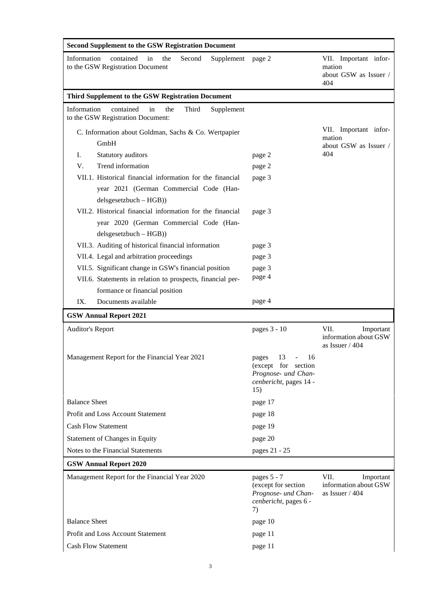| <b>Second Supplement to the GSW Registration Document</b>                                                                       |                                                                                                            |                                                                 |  |  |  |  |
|---------------------------------------------------------------------------------------------------------------------------------|------------------------------------------------------------------------------------------------------------|-----------------------------------------------------------------|--|--|--|--|
| Information<br>contained<br>the<br>Second<br>Supplement page 2<br>in<br>to the GSW Registration Document                        |                                                                                                            | VII. Important infor-<br>mation<br>about GSW as Issuer /<br>404 |  |  |  |  |
| Third Supplement to the GSW Registration Document                                                                               |                                                                                                            |                                                                 |  |  |  |  |
| Information<br>contained<br>the<br>Third<br>Supplement<br>in<br>to the GSW Registration Document:                               |                                                                                                            |                                                                 |  |  |  |  |
| C. Information about Goldman, Sachs & Co. Wertpapier<br>GmbH                                                                    |                                                                                                            | VII. Important infor-<br>mation<br>about GSW as Issuer /        |  |  |  |  |
| Statutory auditors<br>I.                                                                                                        | page 2                                                                                                     | 404                                                             |  |  |  |  |
| Trend information<br>V.                                                                                                         | page 2                                                                                                     |                                                                 |  |  |  |  |
| VII.1. Historical financial information for the financial<br>year 2021 (German Commercial Code (Han-<br>$delsgesetzbuch - HGB)$ | page 3                                                                                                     |                                                                 |  |  |  |  |
| VII.2. Historical financial information for the financial<br>year 2020 (German Commercial Code (Han-                            | page 3                                                                                                     |                                                                 |  |  |  |  |
| $delsgesetzbuch - HGB)$                                                                                                         |                                                                                                            |                                                                 |  |  |  |  |
| VII.3. Auditing of historical financial information<br>VII.4. Legal and arbitration proceedings                                 | page 3                                                                                                     |                                                                 |  |  |  |  |
|                                                                                                                                 | page 3                                                                                                     |                                                                 |  |  |  |  |
| VII.5. Significant change in GSW's financial position                                                                           | page 3<br>page 4                                                                                           |                                                                 |  |  |  |  |
| VII.6. Statements in relation to prospects, financial per-                                                                      |                                                                                                            |                                                                 |  |  |  |  |
| formance or financial position<br>IX.<br>Documents available                                                                    | page 4                                                                                                     |                                                                 |  |  |  |  |
| <b>GSW Annual Report 2021</b>                                                                                                   |                                                                                                            |                                                                 |  |  |  |  |
|                                                                                                                                 | pages 3 - 10                                                                                               | VII.                                                            |  |  |  |  |
| <b>Auditor's Report</b>                                                                                                         |                                                                                                            | Important<br>information about GSW<br>as Issuer / 404           |  |  |  |  |
| Management Report for the Financial Year 2021                                                                                   | 13<br>$\Box$<br>16<br>pages<br>(except for section<br>Prognose- und Chan-<br>cenbericht, pages 14 -<br>15) |                                                                 |  |  |  |  |
| <b>Balance Sheet</b>                                                                                                            | page 17                                                                                                    |                                                                 |  |  |  |  |
| Profit and Loss Account Statement                                                                                               | page 18                                                                                                    |                                                                 |  |  |  |  |
| <b>Cash Flow Statement</b>                                                                                                      | page 19                                                                                                    |                                                                 |  |  |  |  |
| <b>Statement of Changes in Equity</b>                                                                                           | page 20                                                                                                    |                                                                 |  |  |  |  |
| Notes to the Financial Statements                                                                                               | pages 21 - 25                                                                                              |                                                                 |  |  |  |  |
| <b>GSW Annual Report 2020</b>                                                                                                   |                                                                                                            |                                                                 |  |  |  |  |
| Management Report for the Financial Year 2020                                                                                   | pages 5 - 7<br>(except for section<br>Prognose- und Chan-<br>cenbericht, pages 6 -<br>7)                   | VII.<br>Important<br>information about GSW<br>as Issuer / 404   |  |  |  |  |
| <b>Balance Sheet</b>                                                                                                            | page 10                                                                                                    |                                                                 |  |  |  |  |
| Profit and Loss Account Statement                                                                                               | page 11                                                                                                    |                                                                 |  |  |  |  |
| <b>Cash Flow Statement</b>                                                                                                      | page 11                                                                                                    |                                                                 |  |  |  |  |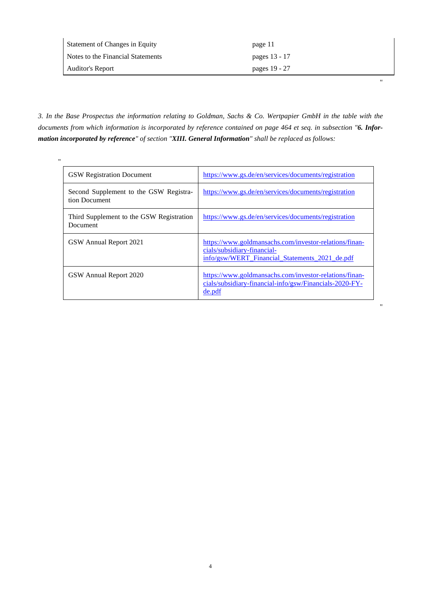| <b>Statement of Changes in Equity</b> | page 11       |
|---------------------------------------|---------------|
| Notes to the Financial Statements     | pages 13 - 17 |
| Auditor's Report                      | pages 19 - 27 |

"

"

*3. In the Base Prospectus the information relating to Goldman, Sachs & Co. Wertpapier GmbH in the table with the documents from which information is incorporated by reference contained on page 464 et seq. in subsection "6. Information incorporated by reference" of section "XIII. General Information" shall be replaced as follows:* 

| $^{\prime\prime}$ |                                                         |                                                                                                                                         |
|-------------------|---------------------------------------------------------|-----------------------------------------------------------------------------------------------------------------------------------------|
|                   | <b>GSW Registration Document</b>                        | https://www.gs.de/en/services/documents/registration                                                                                    |
|                   | Second Supplement to the GSW Registra-<br>tion Document | https://www.gs.de/en/services/documents/registration                                                                                    |
|                   | Third Supplement to the GSW Registration<br>Document    | https://www.gs.de/en/services/documents/registration                                                                                    |
|                   | GSW Annual Report 2021                                  | https://www.goldmansachs.com/investor-relations/finan-<br>cials/subsidiary-financial-<br>info/gsw/WERT Financial Statements 2021 de.pdf |
|                   | GSW Annual Report 2020                                  | https://www.goldmansachs.com/investor-relations/finan-<br>cials/subsidiary-financial-info/gsw/Financials-2020-FY-<br>de.pdf             |